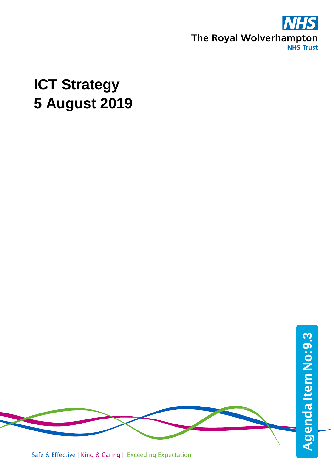

# **ICT Strategy 5 August 2019**

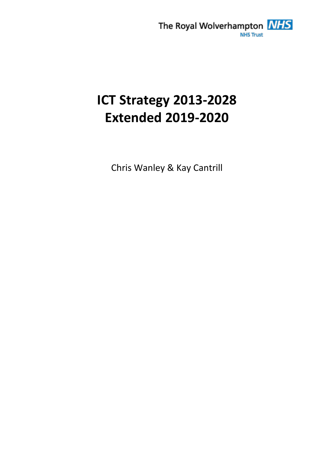

# **ICT Strategy 2013-2028 Extended 2019-2020**

Chris Wanley & Kay Cantrill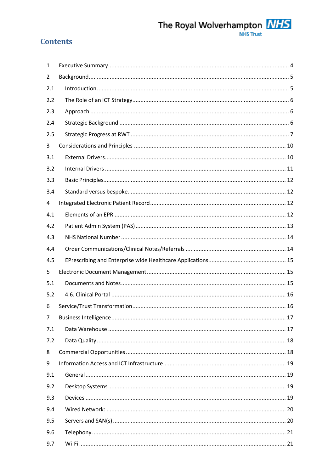

### **Contents**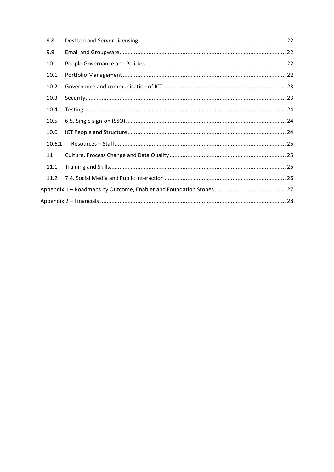| 9.8    |  |  |  |  |
|--------|--|--|--|--|
| 9.9    |  |  |  |  |
| 10     |  |  |  |  |
| 10.1   |  |  |  |  |
| 10.2   |  |  |  |  |
| 10.3   |  |  |  |  |
| 10.4   |  |  |  |  |
| 10.5   |  |  |  |  |
| 10.6   |  |  |  |  |
| 10.6.1 |  |  |  |  |
| 11     |  |  |  |  |
| 11.1   |  |  |  |  |
| 11.2   |  |  |  |  |
|        |  |  |  |  |
|        |  |  |  |  |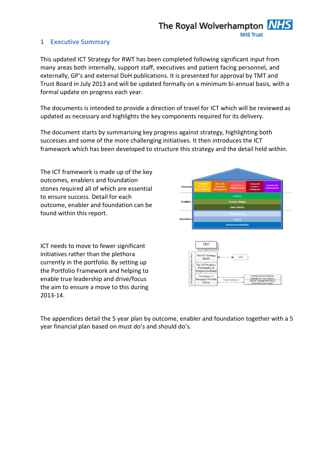#### <span id="page-4-0"></span>**1 Executive Summary**

This updated ICT Strategy for RWT has been completed following significant input from many areas both internally, support staff, executives and patient facing personnel, and externally, GP's and external DoH publications. It is presented for approval by TMT and Trust Board in July 2013 and will be updated formally on a minimum bi-annual basis, with a formal update on progress each year.

The documents is intended to provide a direction of travel for ICT which will be reviewed as updated as necessary and highlights the key components required for its delivery.

The document starts by summarising key progress against strategy, highlighting both successes and some of the more challenging initiatives. It then introduces the ICT framework which has been developed to structure this strategy and the detail held within.

The ICT framework is made up of the key outcomes, enablers and foundation stones required all of which are essential to ensure success. Detail for each outcome, enabler and foundation can be found within this report.

ICT needs to move to fewer significant initiatives rather than the plethora currently in the portfolio. By setting up the Portfolio Framework and helping to enable true leadership and drive/focus the aim to ensure a move to this during 2013-14.





The appendices detail the 5 year plan by outcome, enabler and foundation together with a 5 year financial plan based on must do's and should do's.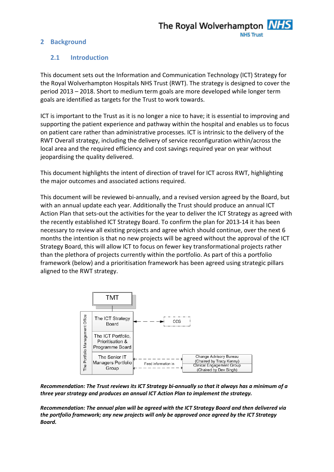#### <span id="page-5-0"></span>**2 Background**

#### <span id="page-5-1"></span>**2.1 Introduction**

This document sets out the Information and Communication Technology (ICT) Strategy for the Royal Wolverhampton Hospitals NHS Trust (RWT). The strategy is designed to cover the period 2013 – 2018. Short to medium term goals are more developed while longer term goals are identified as targets for the Trust to work towards.

ICT is important to the Trust as it is no longer a nice to have; it is essential to improving and supporting the patient experience and pathway within the hospital and enables us to focus on patient care rather than administrative processes. ICT is intrinsic to the delivery of the RWT Overall strategy, including the delivery of service reconfiguration within/across the local area and the required efficiency and cost savings required year on year without jeopardising the quality delivered.

This document highlights the intent of direction of travel for ICT across RWT, highlighting the major outcomes and associated actions required.

This document will be reviewed bi-annually, and a revised version agreed by the Board, but with an annual update each year. Additionally the Trust should produce an annual ICT Action Plan that sets-out the activities for the year to deliver the ICT Strategy as agreed with the recently established ICT Strategy Board. To confirm the plan for 2013-14 it has been necessary to review all existing projects and agree which should continue, over the next 6 months the intention is that no new projects will be agreed without the approval of the ICT Strategy Board, this will allow ICT to focus on fewer key transformational projects rather than the plethora of projects currently within the portfolio. As part of this a portfolio framework (below) and a prioritisation framework has been agreed using strategic pillars aligned to the RWT strategy.



*Recommendation: The Trust reviews its ICT Strategy bi-annually so that it always has a minimum of a three year strategy and produces an annual ICT Action Plan to implement the strategy.*

*Recommendation: The annual plan will be agreed with the ICT Strategy Board and then delivered via the portfolio framework; any new projects will only be approved once agreed by the ICT Strategy Board.*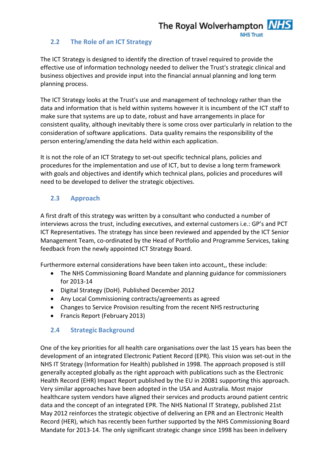### <span id="page-6-0"></span>**2.2 The Role of an ICT Strategy**

The ICT Strategy is designed to identify the direction of travel required to provide the effective use of information technology needed to deliver the Trust's strategic clinical and business objectives and provide input into the financial annual planning and long term planning process.

The ICT Strategy looks at the Trust's use and management of technology rather than the data and information that is held within systems however it is incumbent of the ICT staff to make sure that systems are up to date, robust and have arrangements in place for consistent quality, although inevitably there is some cross over particularly in relation to the consideration of software applications. Data quality remains the responsibility of the person entering/amending the data held within each application.

It is not the role of an ICT Strategy to set-out specific technical plans, policies and procedures for the implementation and use of ICT, but to devise a long term framework with goals and objectives and identify which technical plans, policies and procedures will need to be developed to deliver the strategic objectives.

#### <span id="page-6-1"></span>**2.3 Approach**

A first draft of this strategy was written by a consultant who conducted a number of interviews across the trust, including executives, and external customers i.e.: GP's and PCT ICT Representatives. The strategy has since been reviewed and appended by the ICT Senior Management Team, co-ordinated by the Head of Portfolio and Programme Services, taking feedback from the newly appointed ICT Strategy Board.

Furthermore external considerations have been taken into account,, these include:

- The NHS Commissioning Board Mandate and planning guidance for commissioners for 2013-14
- Digital Strategy (DoH). Published December 2012
- Any Local Commissioning contracts/agreements as agreed
- Changes to Service Provision resulting from the recent NHS restructuring
- Francis Report (February 2013)

#### <span id="page-6-2"></span>**2.4 Strategic Background**

One of the key priorities for all health care organisations over the last 15 years has been the development of an integrated Electronic Patient Record (EPR). This vision was set-out in the NHS IT Strategy (Information for Health) published in 1998. The approach proposed is still generally accepted globally as the right approach with publications such as the Electronic Health Record (EHR) Impact Report published by the EU in 20081 supporting this approach. Very similar approaches have been adopted in the USA and Australia. Most major healthcare system vendors have aligned their services and products around patient centric data and the concept of an integrated EPR. The NHS National IT Strategy, published 21st May 2012 reinforces the strategic objective of delivering an EPR and an Electronic Health Record (HER), which has recently been further supported by the NHS Commissioning Board Mandate for 2013-14. The only significant strategic change since 1998 has been indelivery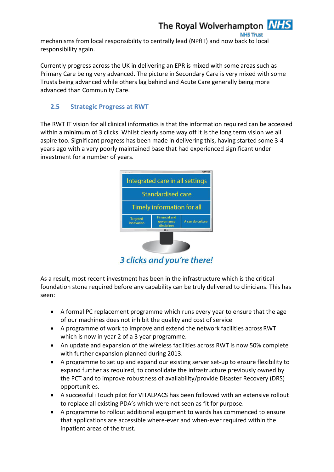**NHS Trust** mechanisms from local responsibility to centrally lead (NPfIT) and now back to local responsibility again.

Currently progress across the UK in delivering an EPR is mixed with some areas such as Primary Care being very advanced. The picture in Secondary Care is very mixed with some Trusts being advanced while others lag behind and Acute Care generally being more advanced than Community Care.

#### <span id="page-7-0"></span>**2.5 Strategic Progress at RWT**

The RWT IT vision for all clinical informatics is that the information required can be accessed within a minimum of 3 clicks. Whilst clearly some way off it is the long term vision we all aspire too. Significant progress has been made in delivering this, having started some 3-4 years ago with a very poorly maintained base that had experienced significant under investment for a number of years.



3 clicks and you're there!

As a result, most recent investment has been in the infrastructure which is the critical foundation stone required before any capability can be truly delivered to clinicians. This has seen:

- A formal PC replacement programme which runs every year to ensure that the age of our machines does not inhibit the quality and cost of service
- A programme of work to improve and extend the network facilities acrossRWT which is now in year 2 of a 3 year programme.
- An update and expansion of the wireless facilities across RWT is now 50% complete with further expansion planned during 2013.
- A programme to set up and expand our existing server set-up to ensure flexibility to expand further as required, to consolidate the infrastructure previously owned by the PCT and to improve robustness of availability/provide Disaster Recovery (DRS) opportunities.
- A successful iTouch pilot for VITALPACS has been followed with an extensive rollout to replace all existing PDA's which were not seen as fit for purpose.
- A programme to rollout additional equipment to wards has commenced to ensure that applications are accessible where-ever and when-ever required within the inpatient areas of the trust.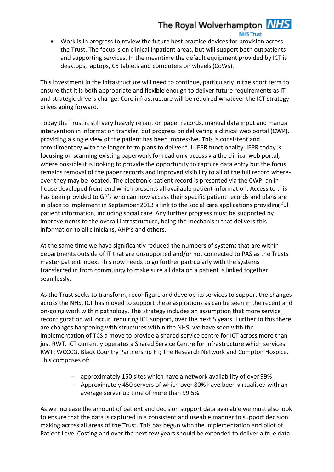• Work is in progress to review the future best practice devices for provision across the Trust. The focus is on clinical inpatient areas, but will support both outpatients and supporting services. In the meantime the default equipment provided by ICT is desktops, laptops, C5 tablets and computers on wheels(CoWs).

This investment in the infrastructure will need to continue, particularly in the short term to ensure that it is both appropriate and flexible enough to deliver future requirements as IT and strategic drivers change. Core infrastructure will be required whatever the ICT strategy drives going forward.

Today the Trust is still very heavily reliant on paper records, manual data input and manual intervention in information transfer, but progress on delivering a clinical web portal (CWP), providing a single view of the patient has been impressive. This is consistent and complimentary with the longer term plans to deliver full iEPR functionality. iEPR today is focusing on scanning existing paperwork for read only access via the clinical web portal, where possible it is looking to provide the opportunity to capture data entry but the focus remains removal of the paper records and improved visibility to all of the full record whereever they may be located. The electronic patient record is presented via the CWP; an inhouse developed front-end which presents all available patient information. Access to this has been provided to GP's who can now access their specific patient records and plans are in place to implement in September 2013 a link to the social care applications providing full patient information, including social care. Any further progress must be supported by improvements to the overall infrastructure, being the mechanism that delivers this information to all clinicians, AHP's and others.

At the same time we have significantly reduced the numbers of systems that are within departments outside of IT that are unsupported and/or not connected to PAS as the Trusts master patient index. This now needs to go further particularly with the systems transferred in from community to make sure all data on a patient is linked together seamlessly.

As the Trust seeks to transform, reconfigure and develop its services to support the changes across the NHS, ICT has moved to support these aspirations as can be seen in the recent and on-going work within pathology. This strategy includes an assumption that more service reconfiguration will occur, requiring ICT support, over the next 5 years. Further to this there are changes happening with structures within the NHS, we have seen with the implementation of TCS a move to provide a shared service centre for ICT across more than just RWT. ICT currently operates a Shared Service Centre for Infrastructure which services RWT; WCCCG, Black Country Partnership FT; The Research Network and Compton Hospice. This comprises of:

- approximately 150 sites which have a network availability of over 99%
- Approximately 450 servers of which over 80% have been virtualised with an average server up time of more than 99.5%

As we increase the amount of patient and decision support data available we must also look to ensure that the data is captured in a consistent and useable manner to support decision making across all areas of the Trust. This has begun with the implementation and pilot of Patient Level Costing and over the next few years should be extended to deliver a true data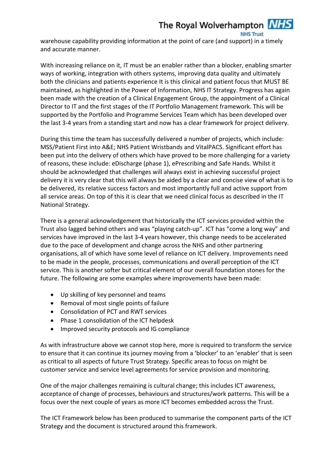warehouse capability providing information at the point of care (and support) in a timely and accurate manner.

With increasing reliance on it, IT must be an enabler rather than a blocker, enabling smarter ways of working, integration with others systems, improving data quality and ultimately both the clinicians and patients experience It is this clinical and patient focus that MUST BE maintained, as highlighted in the Power of Information, NHS IT Strategy. Progress has again been made with the creation of a Clinical Engagement Group, the appointment of a Clinical Director to IT and the first stages of the IT Portfolio Management framework. This will be supported by the Portfolio and Programme Services Team which has been developed over the last 3-4 years from a standing start and now has a clear framework for project delivery.

During this time the team has successfully delivered a number of projects, which include: MSS/Patient First into A&E; NHS Patient Wristbands and VitalPACS. Significant effort has been put into the delivery of others which have proved to be more challenging for a variety of reasons, these include: eDischarge (phase 1), ePrescribing and Safe Hands. Whilst it should be acknowledged that challenges will always exist in achieving successful project delivery it is very clear that this will always be aided by a clear and concise view of what is to be delivered, its relative success factors and most importantly full and active support from all service areas. On top of this it is clear that we need clinical focus as described in the IT National Strategy.

There is a general acknowledgement that historically the ICT services provided within the Trust also lagged behind others and was "playing catch-up". ICT has "come a long way" and services have improved in the last 3-4 years however, this change needs to be accelerated due to the pace of development and change across the NHS and other partnering organisations, all of which have some level of reliance on ICT delivery. Improvements need to be made in the people, processes, communications and overall perception of the ICT service. This is another softer but critical element of our overall foundation stones for the future. The following are some examples where improvements have been made:

- Up skilling of key personnel and teams
- Removal of most single points of failure
- Consolidation of PCT and RWT services
- Phase 1 consolidation of the ICT helpdesk
- Improved security protocols and IG compliance

As with infrastructure above we cannot stop here, more is required to transform the service to ensure that it can continue its journey moving from a 'blocker' to an 'enabler' that is seen as critical to all aspects of future Trust Strategy. Specific areas to focus on might be customer service and service level agreements for service provision and monitoring.

One of the major challenges remaining is cultural change; this includes ICT awareness, acceptance of change of processes, behaviours and structures/work patterns. This will be a focus over the next couple of years as more ICT becomes embedded across the Trust.

The ICT Framework below has been produced to summarise the component parts of the ICT Strategy and the document is structured around this framework.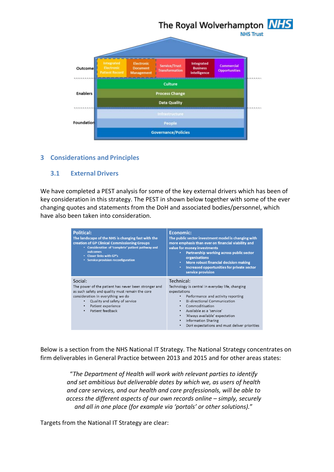

#### <span id="page-10-0"></span>**3 Considerations and Principles**

#### <span id="page-10-1"></span>**3.1 External Drivers**

We have completed a PEST analysis for some of the key external drivers which has been of key consideration in this strategy. The PEST in shown below together with some of the ever changing quotes and statements from the DoH and associated bodies/personnel, which have also been taken into consideration.

| <b>Political:</b><br>The landscape of the NHS is changing fast with the<br>creation of GP Clinical Commissioning Groups<br>• Consideration of 'complete' patient pathway and<br>outcomes<br>• Closer links with GP's<br>• Service provision reconfiguration | <b>Economic:</b><br>The public sector investment model is changing with<br>more emphasis than ever on financial viability and<br>value for money investments<br>Partnership working across public sector<br>٠<br>organisations<br><b>More robust financial decision making</b><br>$\bullet$<br>Increased opportunities for private sector<br>٠<br>service provision                               |
|-------------------------------------------------------------------------------------------------------------------------------------------------------------------------------------------------------------------------------------------------------------|---------------------------------------------------------------------------------------------------------------------------------------------------------------------------------------------------------------------------------------------------------------------------------------------------------------------------------------------------------------------------------------------------|
| Social:<br>The power of the patient has never been stronger and<br>as such safety and quality must remain the core<br>consideration in everything we do<br>Quality and safety of service<br>٠<br>Patient experience<br>٠<br>Patient feedback<br>$\bullet$   | Technical:<br>Technology is central in everyday life, changing<br>expectations<br>Performance and activity reporting<br><b>Bi-directional Communication</b><br>$\bullet$<br>Commoditisation<br>$\bullet$<br>Available as a 'service'<br>$\bullet$<br>'Always available' expectation<br>$\bullet$<br>Information Sharing<br>$\bullet$<br>DoH expectations and must deliver priorities<br>$\bullet$ |

Below is a section from the NHS National IT Strategy. The National Strategy concentrates on firm deliverables in General Practice between 2013 and 2015 and for other areas states:

> "*The Department of Health will work with relevant parties to identify and set ambitious but deliverable dates by which we, as users of health and care services, and our health and care professionals, will be able to access the different aspects of our own records online – simply, securely and all in one place (for example via 'portals' or other solutions).*"

Targets from the National IT Strategy are clear: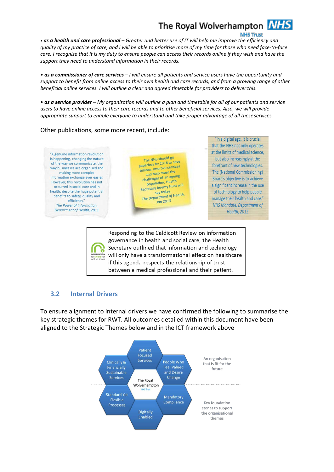#### **NHS Trust**

• *as a health and care professional – Greater and better use of IT will help me improve the efficiency and quality of my practice of care, and I will be able to prioritise more of my time for those who need face-to-face care. I recognise that it is my duty to ensure people can access their records online if they wish and have the support they need to understand information in their records.*

• *as a commissioner of care services – I will ensure all patients and service users have the opportunity and support to benefit from online access to their own health and care records, and from a growing range of other beneficial online services. I will outline a clear and agreed timetable for providers to deliverthis.*

• *as a service provider – My organisation will outline a plan and timetable for all of our patients and service users to have online access to their care records and to other beneficial services. Also, we will provide appropriate support to enable everyone to understand and take proper advantage of all theseservices.*

#### Other publications, some more recent, include:

"A genuine information revolution is happening, changing the nature of the way we communicate, the way businesses are organised and making more complex information exchange ever easier. However, this revolution has not occurred in social care and in health, despite the huge potential benefits to safety, quality and efficiency. The Power of Information, Department of Health, 2011

The NHS should go The NHS should be paperless by 2018 to save paperless by 2018 to sure<br>billions, improve services and help meet the and help meet the<br>challenges of an ageing population, Health population, Health<br>Secretary Jeremy Hunt will say today. say today.<br>The Department of Health, Jan 2013

"In a digital age, it is crucial that the NHS not only operates at the limits of medical science, but also increasingly at the forefront of new technologies. The (National Commissioning) Board's objective is to achieve a significant increase in the use of technology to help people manage their health and care." NHS Mandate, Department of **Health, 2012** 



Responding to the Caldicott Review on information governance in health and social care, the Health Secretary outlined that information and technology will only have a transformational effect on healthcare if this agenda respects the relationship of trust between a medical professional and their patient.

#### <span id="page-11-0"></span>**3.2 Internal Drivers**

To ensure alignment to internal drivers we have confirmed the following to summarise the key strategic themes for RWT. All outcomes detailed within this document have been aligned to the Strategic Themes below and in the ICT framework above

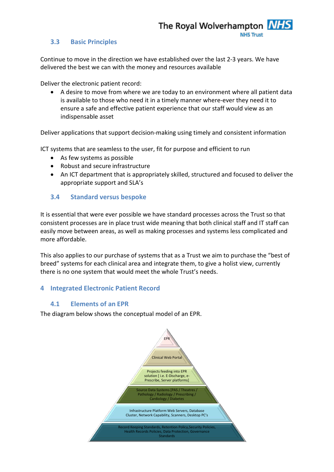#### <span id="page-12-0"></span>**3.3 Basic Principles**

Continue to move in the direction we have established over the last 2-3 years. We have delivered the best we can with the money and resources available

Deliver the electronic patient record:

• A desire to move from where we are today to an environment where all patient data is available to those who need it in a timely manner where-ever they need it to ensure a safe and effective patient experience that our staff would view as an indispensable asset

Deliver applications that support decision-making using timely and consistent information

ICT systems that are seamless to the user, fit for purpose and efficient to run

- As few systems as possible
- Robust and secure infrastructure
- An ICT department that is appropriately skilled, structured and focused to deliver the appropriate support and SLA's

#### <span id="page-12-1"></span>**3.4 Standard versus bespoke**

It is essential that were ever possible we have standard processes across the Trust so that consistent processes are in place trust wide meaning that both clinical staff and IT staff can easily move between areas, as well as making processes and systems less complicated and more affordable.

This also applies to our purchase of systems that as a Trust we aim to purchase the "best of breed" systems for each clinical area and integrate them, to give a holist view, currently there is no one system that would meet the whole Trust's needs.

#### <span id="page-12-2"></span>**4 Integrated Electronic Patient Record**

#### **4.1 Elements of an EPR**

<span id="page-12-3"></span>The diagram below shows the conceptual model of an EPR.

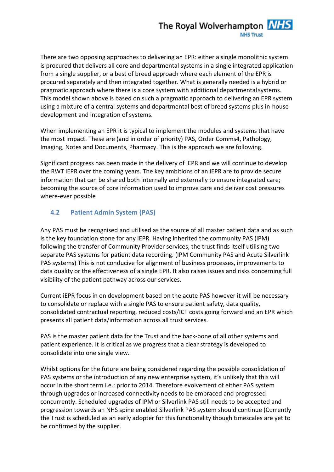There are two opposing approaches to delivering an EPR: either a single monolithic system is procured that delivers all core and departmental systems in a single integrated application from a single supplier, or a best of breed approach where each element of the EPR is procured separately and then integrated together. What is generally needed is a hybrid or pragmatic approach where there is a core system with additional departmentalsystems. This model shown above is based on such a pragmatic approach to delivering an EPR system using a mixture of a central systems and departmental best of breed systems plus in-house development and integration of systems.

When implementing an EPR it is typical to implement the modules and systems that have the most impact. These are (and in order of priority) PAS, Order Comms4, Pathology, Imaging, Notes and Documents, Pharmacy. This is the approach we are following.

Significant progress has been made in the delivery of iEPR and we will continue to develop the RWT iEPR over the coming years. The key ambitions of an iEPR are to provide secure information that can be shared both internally and externally to ensure integrated care; becoming the source of core information used to improve care and deliver cost pressures where-ever possible

#### <span id="page-13-0"></span>**4.2 Patient Admin System (PAS)**

Any PAS must be recognised and utilised as the source of all master patient data and as such is the key foundation stone for any iEPR. Having inherited the community PAS (iPM) following the transfer of Community Provider services, the trust finds itself utilising two separate PAS systems for patient data recording. (IPM Community PAS and Acute Silverlink PAS systems) This is not conducive for alignment of business processes, improvements to data quality or the effectiveness of a single EPR. It also raises issues and risks concerning full visibility of the patient pathway across our services.

Current iEPR focus in on development based on the acute PAS however it will be necessary to consolidate or replace with a single PAS to ensure patient safety, data quality, consolidated contractual reporting, reduced costs/ICT costs going forward and an EPR which presents all patient data/information across all trust services.

PAS is the master patient data for the Trust and the back-bone of all other systems and patient experience. It is critical as we progress that a clear strategy is developed to consolidate into one single view.

Whilst options for the future are being considered regarding the possible consolidation of PAS systems or the introduction of any new enterprise system, it's unlikely that this will occur in the short term i.e.: prior to 2014. Therefore evolvement of either PAS system through upgrades or increased connectivity needs to be embraced and progressed concurrently. Scheduled upgrades of IPM or Silverlink PAS still needs to be accepted and progression towards an NHS spine enabled Silverlink PAS system should continue (Currently the Trust is scheduled as an early adopter for this functionality though timescales are yet to be confirmed by the supplier.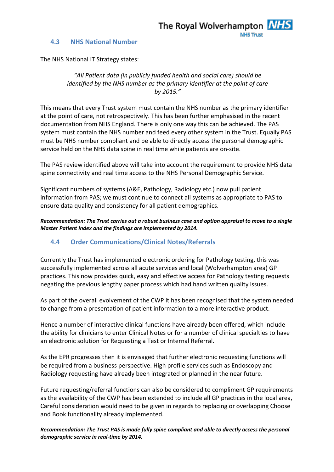#### <span id="page-14-0"></span>**4.3 NHS National Number**

The NHS National IT Strategy states:

#### *"All Patient data (in publicly funded health and social care) should be identified by the NHS number as the primary identifier at the point of care by 2015."*

This means that every Trust system must contain the NHS number as the primary identifier at the point of care, not retrospectively. This has been further emphasised in the recent documentation from NHS England. There is only one way this can be achieved. The PAS system must contain the NHS number and feed every other system in the Trust. Equally PAS must be NHS number compliant and be able to directly access the personal demographic service held on the NHS data spine in real time while patients are on-site.

The PAS review identified above will take into account the requirement to provide NHS data spine connectivity and real time access to the NHS Personal Demographic Service.

Significant numbers of systems (A&E, Pathology, Radiology etc.) now pull patient information from PAS; we must continue to connect all systems as appropriate to PAS to ensure data quality and consistency for all patient demographics.

*Recommendation: The Trust carries out a robust business case and option appraisal to move to a single Master Patient Index and the findings are implemented by 2014.*

#### <span id="page-14-1"></span>**4.4 Order Communications/Clinical Notes/Referrals**

Currently the Trust has implemented electronic ordering for Pathology testing, this was successfully implemented across all acute services and local (Wolverhampton area) GP practices. This now provides quick, easy and effective access for Pathology testing requests negating the previous lengthy paper process which had hand written quality issues.

As part of the overall evolvement of the CWP it has been recognised that the system needed to change from a presentation of patient information to a more interactive product.

Hence a number of interactive clinical functions have already been offered, which include the ability for clinicians to enter Clinical Notes or for a number of clinical specialties to have an electronic solution for Requesting a Test or Internal Referral.

As the EPR progresses then it is envisaged that further electronic requesting functions will be required from a business perspective. High profile services such as Endoscopy and Radiology requesting have already been integrated or planned in the near future.

Future requesting/referral functions can also be considered to compliment GP requirements as the availability of the CWP has been extended to include all GP practices in the local area, Careful consideration would need to be given in regards to replacing or overlapping Choose and Book functionality already implemented.

*Recommendation: The Trust PAS is made fully spine compliant and able to directly access the personal demographic service in real-time by 2014.*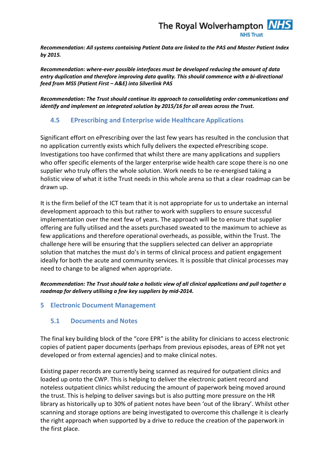

*Recommendation: All systems containing Patient Data are linked to the PAS and Master Patient Index by 2015.*

*Recommendation: where-ever possible interfaces must be developed reducing the amount of data entry duplication and therefore improving data quality. This should commence with a bi-directional feed from MSS (Patient First – A&E) into Silverlink PAS*

*Recommendation: The Trust should continue its approach to consolidating order communications and identify and implement an integrated solution by 2015/16 for all areas across the Trust.*

#### <span id="page-15-0"></span>**4.5 EPrescribing and Enterprise wide Healthcare Applications**

Significant effort on ePrescribing over the last few years has resulted in the conclusion that no application currently exists which fully delivers the expected ePrescribing scope. Investigations too have confirmed that whilst there are many applications and suppliers who offer specific elements of the larger enterprise wide health care scope there is no one supplier who truly offers the whole solution. Work needs to be re-energised taking a holistic view of what it isthe Trust needs in this whole arena so that a clear roadmap can be drawn up.

It is the firm belief of the ICT team that it is not appropriate for us to undertake an internal development approach to this but rather to work with suppliers to ensure successful implementation over the next few of years. The approach will be to ensure that supplier offering are fully utilised and the assets purchased sweated to the maximum to achieve as few applications and therefore operational overheads, as possible, within the Trust. The challenge here will be ensuring that the suppliers selected can deliver an appropriate solution that matches the must do's in terms of clinical process and patient engagement ideally for both the acute and community services. It is possible that clinical processes may need to change to be aligned when appropriate.

*Recommendation: The Trust should take a holistic view of all clinical applications and pull together a roadmap for delivery utilising a few key suppliers by mid-2014.*

#### <span id="page-15-1"></span>**5 Electronic Document Management**

#### <span id="page-15-2"></span>**5.1 Documents and Notes**

The final key building block of the "core EPR" is the ability for clinicians to access electronic copies of patient paper documents (perhaps from previous episodes, areas of EPR not yet developed or from external agencies) and to make clinical notes.

Existing paper records are currently being scanned as required for outpatient clinics and loaded up onto the CWP. This is helping to deliver the electronic patient record and noteless outpatient clinics whilst reducing the amount of paperwork being moved around the trust. This is helping to deliver savings but is also putting more pressure on the HR library as historically up to 30% of patient notes have been 'out of the library'. Whilst other scanning and storage options are being investigated to overcome this challenge it is clearly the right approach when supported by a drive to reduce the creation of the paperwork in the first place.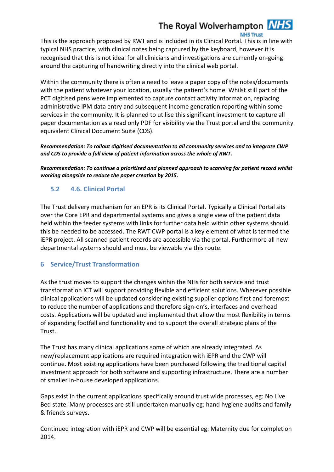#### **NHS Trust**

This is the approach proposed by RWT and is included in its Clinical Portal. This is in line with typical NHS practice, with clinical notes being captured by the keyboard, however it is recognised that this is not ideal for all clinicians and investigations are currently on-going around the capturing of handwriting directly into the clinical web portal.

Within the community there is often a need to leave a paper copy of the notes/documents with the patient whatever your location, usually the patient's home. Whilst still part of the PCT digitised pens were implemented to capture contact activity information, replacing administrative iPM data entry and subsequent income generation reporting within some services in the community. It is planned to utilise this significant investment to capture all paper documentation as a read only PDF for visibility via the Trust portal and the community equivalent Clinical Document Suite (CDS).

*Recommendation: To rollout digitised documentation to all community services and to integrate CWP and CDS to provide a full view of patient information across the whole of RWT.*

*Recommendation: To continue a prioritised and planned approach to scanning for patient record whilst working alongside to reduce the paper creation by 2015.*

#### <span id="page-16-0"></span>**5.2 4.6. Clinical Portal**

The Trust delivery mechanism for an EPR is its Clinical Portal. Typically a Clinical Portal sits over the Core EPR and departmental systems and gives a single view of the patient data held within the feeder systems with links for further data held within other systems should this be needed to be accessed. The RWT CWP portal is a key element of what is termed the iEPR project. All scanned patient records are accessible via the portal. Furthermore all new departmental systems should and must be viewable via this route.

#### <span id="page-16-1"></span>**6 Service/Trust Transformation**

As the trust moves to support the changes within the NHs for both service and trust transformation ICT will support providing flexible and efficient solutions. Wherever possible clinical applications will be updated considering existing supplier options first and foremost to reduce the number of applications and therefore sign-on's, interfaces and overhead costs. Applications will be updated and implemented that allow the most flexibility in terms of expanding footfall and functionality and to support the overall strategic plans of the Trust.

The Trust has many clinical applications some of which are already integrated. As new/replacement applications are required integration with iEPR and the CWP will continue. Most existing applications have been purchased following the traditional capital investment approach for both software and supporting infrastructure. There are a number of smaller in-house developed applications.

Gaps exist in the current applications specifically around trust wide processes, eg: No Live Bed state. Many processes are still undertaken manually eg: hand hygiene audits and family & friends surveys.

Continued integration with iEPR and CWP will be essential eg: Maternity due for completion 2014.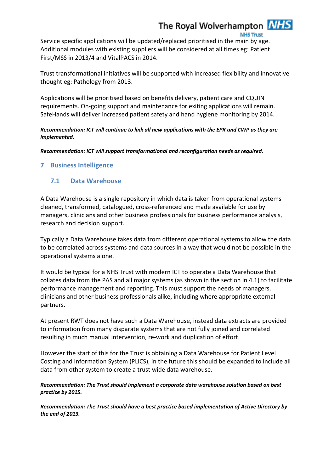**NHS Trust** 

Service specific applications will be updated/replaced prioritised in the main by age. Additional modules with existing suppliers will be considered at all times eg: Patient First/MSS in 2013/4 and VitalPACS in 2014.

Trust transformational initiatives will be supported with increased flexibility and innovative thought eg: Pathology from 2013.

Applications will be prioritised based on benefits delivery, patient care and CQUIN requirements. On-going support and maintenance for exiting applications will remain. SafeHands will deliver increased patient safety and hand hygiene monitoring by 2014.

*Recommendation: ICT will continue to link all new applications with the EPR and CWP as they are implemented.*

*Recommendation: ICT will support transformational and reconfiguration needs as required.*

#### <span id="page-17-0"></span>**7 Business Intelligence**

#### <span id="page-17-1"></span>**7.1 Data Warehouse**

A Data Warehouse is a single repository in which data is taken from operational systems cleaned, transformed, catalogued, cross-referenced and made available for use by managers, clinicians and other business professionals for business performance analysis, research and decision support.

Typically a Data Warehouse takes data from different operational systems to allow the data to be correlated across systems and data sources in a way that would not be possible in the operational systems alone.

It would be typical for a NHS Trust with modern ICT to operate a Data Warehouse that collates data from the PAS and all major systems (as shown in the section in 4.1) to facilitate performance management and reporting. This must support the needs of managers, clinicians and other business professionals alike, including where appropriate external partners.

At present RWT does not have such a Data Warehouse, instead data extracts are provided to information from many disparate systems that are not fully joined and correlated resulting in much manual intervention, re-work and duplication of effort.

However the start of this for the Trust is obtaining a Data Warehouse for Patient Level Costing and Information System (PLICS), in the future this should be expanded to include all data from other system to create a trust wide data warehouse.

*Recommendation: The Trust should implement a corporate data warehouse solution based on best practice by 2015.*

*Recommendation: The Trust should have a best practice based implementation of Active Directory by the end of 2013.*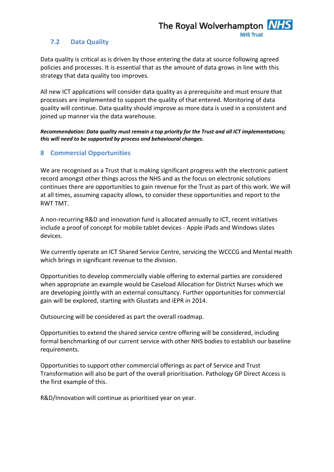#### <span id="page-18-0"></span>**7.2 Data Quality**

Data quality is critical as is driven by those entering the data at source following agreed policies and processes. It is essential that as the amount of data grows in line with this strategy that data quality too improves.

All new ICT applications will consider data quality as a prerequisite and must ensure that processes are implemented to support the quality of that entered. Monitoring of data quality will continue. Data quality should improve as more data is used in a consistent and joined up manner via the data warehouse.

*Recommendation: Data quality must remain a top priority for the Trust and all ICT implementations; this will need to be supported by process and behavioural changes.*

#### <span id="page-18-1"></span>**8 Commercial Opportunities**

We are recognised as a Trust that is making significant progress with the electronic patient record amongst other things across the NHS and as the focus on electronic solutions continues there are opportunities to gain revenue for the Trust as part of this work. We will at all times, assuming capacity allows, to consider these opportunities and report to the RWT TMT.

A non-recurring R&D and innovation fund is allocated annually to ICT, recent initiatives include a proof of concept for mobile tablet devices - Apple iPads and Windows slates devices.

We currently operate an ICT Shared Service Centre, servicing the WCCCG and Mental Health which brings in significant revenue to the division.

Opportunities to develop commercially viable offering to external parties are considered when appropriate an example would be Caseload Allocation for District Nurses which we are developing jointly with an external consultancy. Further opportunities for commercial gain will be explored, starting with Glustats and iEPR in 2014.

Outsourcing will be considered as part the overall roadmap.

Opportunities to extend the shared service centre offering will be considered, including formal benchmarking of our current service with other NHS bodies to establish our baseline requirements.

Opportunities to support other commercial offerings as part of Service and Trust Transformation will also be part of the overall prioritisation. Pathology GP Direct Access is the first example of this.

R&D/Innovation will continue as prioritised year on year.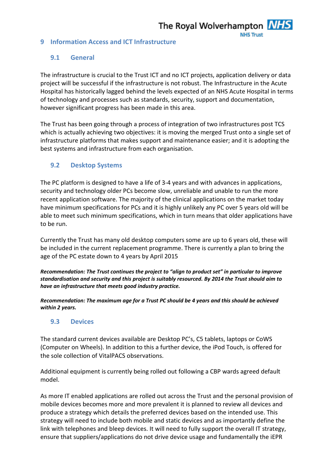**NHS Trust** 

#### <span id="page-19-0"></span>**9 Information Access and ICT Infrastructure**

#### <span id="page-19-1"></span>**9.1 General**

The infrastructure is crucial to the Trust ICT and no ICT projects, application delivery or data project will be successful if the infrastructure is not robust. The Infrastructure in the Acute Hospital has historically lagged behind the levels expected of an NHS Acute Hospital in terms of technology and processes such as standards, security, support and documentation, however significant progress has been made in this area.

The Trust has been going through a process of integration of two infrastructures post TCS which is actually achieving two objectives: it is moving the merged Trust onto a single set of infrastructure platforms that makes support and maintenance easier; and it is adopting the best systems and infrastructure from each organisation.

#### <span id="page-19-2"></span>**9.2 Desktop Systems**

The PC platform is designed to have a life of 3-4 years and with advances in applications, security and technology older PCs become slow, unreliable and unable to run the more recent application software. The majority of the clinical applications on the market today have minimum specifications for PCs and it is highly unlikely any PC over 5 years old will be able to meet such minimum specifications, which in turn means that older applications have to be run.

Currently the Trust has many old desktop computers some are up to 6 years old, these will be included in the current replacement programme. There is currently a plan to bring the age of the PC estate down to 4 years by April 2015

*Recommendation: The Trust continues the project to "align to product set" in particular to improve standardisation and security and this project is suitably resourced. By 2014 the Trust should aim to have an infrastructure that meets good industry practice.*

*Recommendation: The maximum age for a Trust PC should be 4 years and this should be achieved within 2 years.*

#### <span id="page-19-3"></span>**9.3 Devices**

The standard current devices available are Desktop PC's, C5 tablets, laptops or CoWS (Computer on Wheels). In addition to this a further device, the iPod Touch, is offered for the sole collection of VitalPACS observations.

Additional equipment is currently being rolled out following a CBP wards agreed default model.

As more IT enabled applications are rolled out across the Trust and the personal provision of mobile devices becomes more and more prevalent it is planned to review all devices and produce a strategy which details the preferred devices based on the intended use. This strategy will need to include both mobile and static devices and as importantly define the link with telephones and bleep devices. It will need to fully support the overall IT strategy, ensure that suppliers/applications do not drive device usage and fundamentally the iEPR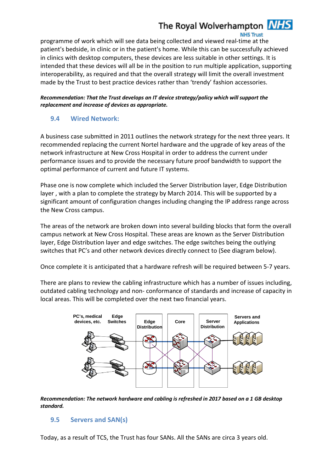#### **NHS Trust**

programme of work which will see data being collected and viewed real-time at the patient's bedside, in clinic or in the patient's home. While this can be successfully achieved in clinics with desktop computers, these devices are less suitable in other settings. It is intended that these devices will all be in the position to run multiple application, supporting interoperability, as required and that the overall strategy will limit the overall investment made by the Trust to best practice devices rather than 'trendy' fashion accessories.

#### *Recommendation: That the Trust develops an IT device strategy/policy which will support the replacement and increase of devices as appropriate.*

#### <span id="page-20-0"></span>**9.4 Wired Network:**

A business case submitted in 2011 outlines the network strategy for the next three years. It recommended replacing the current Nortel hardware and the upgrade of key areas of the network infrastructure at New Cross Hospital in order to address the current under performance issues and to provide the necessary future proof bandwidth to support the optimal performance of current and future IT systems.

Phase one is now complete which included the Server Distribution layer, Edge Distribution layer , with a plan to complete the strategy by March 2014. This will be supported by a significant amount of configuration changes including changing the IP address range across the New Cross campus.

The areas of the network are broken down into several building blocks that form the overall campus network at New Cross Hospital. These areas are known as the Server Distribution layer, Edge Distribution layer and edge switches. The edge switches being the outlying switches that PC's and other network devices directly connect to (See diagram below).

Once complete it is anticipated that a hardware refresh will be required between 5-7 years.

There are plans to review the cabling infrastructure which has a number of issues including, outdated cabling technology and non- conformance of standards and increase of capacity in local areas. This will be completed over the next two financial years.



*Recommendation: The network hardware and cabling is refreshed in 2017 based on a 1 GB desktop standard.*

#### <span id="page-20-1"></span>**9.5 Servers and SAN(s)**

Today, as a result of TCS, the Trust has four SANs. All the SANs are circa 3 years old.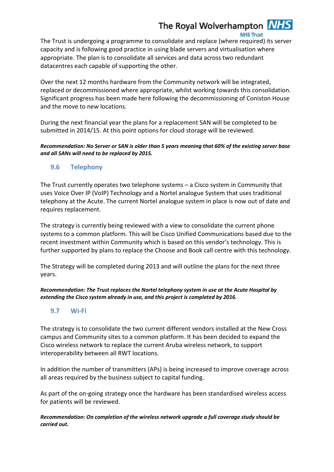#### **NHS Trust**

The Trust is undergoing a programme to consolidate and replace (where required) its server capacity and is following good practice in using blade servers and virtualisation where appropriate. The plan is to consolidate all services and data across two redundant datacentres each capable of supporting the other.

Over the next 12 months hardware from the Community network will be integrated, replaced or decommissioned where appropriate, whilst working towards this consolidation. Significant progress has been made here following the decommissioning of Coniston House and the move to new locations.

During the next financial year the plans for a replacement SAN will be completed to be submitted in 2014/15. At this point options for cloud storage will be reviewed.

#### *Recommendation: No Server or SAN is older than 5 years meaning that 60% of the existing server base and all SANs will need to be replaced by 2015.*

<span id="page-21-0"></span>**9.6 Telephony**

The Trust currently operates two telephone systems – a Cisco system in Community that uses Voice Over IP (VoIP) Technology and a Nortel analogue System that uses traditional telephony at the Acute. The current Nortel analogue system in place is now out of date and requires replacement.

The strategy is currently being reviewed with a view to consolidate the current phone systems to a common platform. This will be Cisco Unified Communications based due to the recent investment within Community which is based on this vendor's technology. This is further supported by plans to replace the Choose and Book call centre with this technology.

The Strategy will be completed during 2013 and will outline the plans for the next three years.

*Recommendation: The Trust replaces the Nortel telephony system in use at the Acute Hospital by extending the Cisco system already in use, and this project is completed by 2016.*

#### <span id="page-21-1"></span>**9.7 Wi-Fi**

The strategy is to consolidate the two current different vendors installed at the New Cross campus and Community sites to a common platform. It has been decided to expand the Cisco wireless network to replace the current Aruba wireless network, to support interoperability between all RWT locations.

In addition the number of transmitters (APs) is being increased to improve coverage across all areas required by the business subject to capital funding.

As part of the on-going strategy once the hardware has been standardised wireless access for patients will be reviewed.

*Recommendation: On completion of the wireless network upgrade a full coverage study should be carried out.*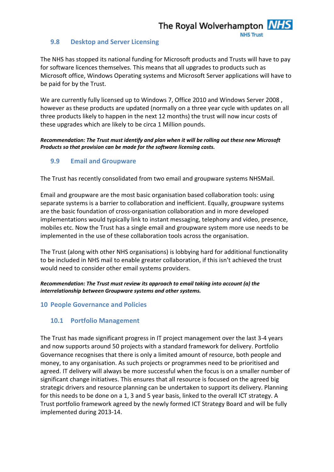**NHS Trust** 

#### <span id="page-22-0"></span>**9.8 Desktop and Server Licensing**

The NHS has stopped its national funding for Microsoft products and Trusts will have to pay for software licences themselves. This means that all upgrades to products such as Microsoft office, Windows Operating systems and Microsoft Server applications will have to be paid for by the Trust.

We are currently fully licensed up to Windows 7, Office 2010 and Windows Server 2008 , however as these products are updated (normally on a three year cycle with updates on all three products likely to happen in the next 12 months) the trust will now incur costs of these upgrades which are likely to be circa 1 Million pounds.

#### *Recommendation: The Trust must identify and plan when it will be rolling out these new Microsoft Products so that provision can be made for the software licensing costs.*

#### <span id="page-22-1"></span>**9.9 Email and Groupware**

The Trust has recently consolidated from two email and groupware systems NHSMail.

Email and groupware are the most basic organisation based collaboration tools: using separate systems is a barrier to collaboration and inefficient. Equally, groupware systems are the basic foundation of cross-organisation collaboration and in more developed implementations would typically link to instant messaging, telephony and video, presence, mobiles etc. Now the Trust has a single email and groupware system more use needs to be implemented in the use of these collaboration tools across the organisation.

The Trust (along with other NHS organisations) is lobbying hard for additional functionality to be included in NHS mail to enable greater collaboration, if this isn't achieved the trust would need to consider other email systems providers.

*Recommendation: The Trust must review its approach to email taking into account (a) the interrelationship between Groupware systems and other systems.*

#### <span id="page-22-2"></span>**10 People Governance and Policies**

#### <span id="page-22-3"></span>**10.1 Portfolio Management**

The Trust has made significant progress in IT project management over the last 3-4 years and now supports around 50 projects with a standard framework for delivery. Portfolio Governance recognises that there is only a limited amount of resource, both people and money, to any organisation. As such projects or programmes need to be prioritised and agreed. IT delivery will always be more successful when the focus is on a smaller number of significant change initiatives. This ensures that all resource is focused on the agreed big strategic drivers and resource planning can be undertaken to support its delivery. Planning for this needs to be done on a 1, 3 and 5 year basis, linked to the overall ICT strategy. A Trust portfolio framework agreed by the newly formed ICT Strategy Board and will be fully implemented during 2013-14.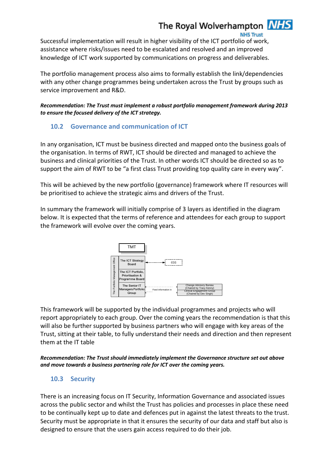#### **NHS Trust**

Successful implementation will result in higher visibility of the ICT portfolio of work, assistance where risks/issues need to be escalated and resolved and an improved knowledge of ICT work supported by communications on progress and deliverables.

The portfolio management process also aims to formally establish the link/dependencies with any other change programmes being undertaken across the Trust by groups such as service improvement and R&D.

*Recommendation: The Trust must implement a robust portfolio management framework during 2013 to ensure the focused delivery of the ICT strategy.*

#### <span id="page-23-0"></span>**10.2 Governance and communication of ICT**

In any organisation, ICT must be business directed and mapped onto the business goals of the organisation. In terms of RWT, ICT should be directed and managed to achieve the business and clinical priorities of the Trust. In other words ICT should be directed so as to support the aim of RWT to be "a first class Trust providing top quality care in every way".

This will be achieved by the new portfolio (governance) framework where IT resources will be prioritised to achieve the strategic aims and drivers of the Trust.

In summary the framework will initially comprise of 3 layers as identified in the diagram below. It is expected that the terms of reference and attendees for each group to support the framework will evolve over the coming years.



This framework will be supported by the individual programmes and projects who will report appropriately to each group. Over the coming years the recommendation is that this will also be further supported by business partners who will engage with key areas of the Trust, sitting at their table, to fully understand their needs and direction and then represent them at the IT table

*Recommendation: The Trust should immediately implement the Governance structure set out above and move towards a business partnering role for ICT over the coming years.*

#### <span id="page-23-1"></span>**10.3 Security**

There is an increasing focus on IT Security, Information Governance and associated issues across the public sector and whilst the Trust has policies and processes in place these need to be continually kept up to date and defences put in against the latest threats to the trust. Security must be appropriate in that it ensures the security of our data and staff but also is designed to ensure that the users gain access required to do their job.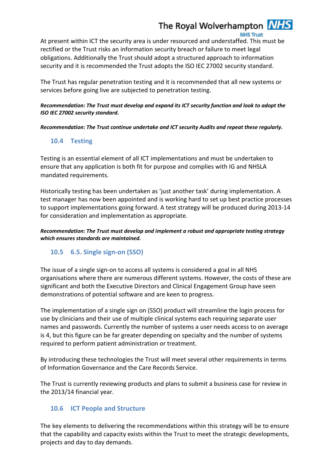#### **NHS Trust**

At present within ICT the security area is under resourced and understaffed. This must be rectified or the Trust risks an information security breach or failure to meet legal obligations. Additionally the Trust should adopt a structured approach to information security and it is recommended the Trust adopts the ISO IEC 27002 security standard.

The Trust has regular penetration testing and it is recommended that all new systems or services before going live are subjected to penetration testing.

*Recommendation: The Trust must develop and expand its ICT security function and look to adopt the ISO IEC 27002 security standard.*

<span id="page-24-0"></span>*Recommendation: The Trust continue undertake and ICT security Audits and repeat these regularly.*

#### **10.4 Testing**

Testing is an essential element of all ICT implementations and must be undertaken to ensure that any application is both fit for purpose and complies with IG and NHSLA mandated requirements.

Historically testing has been undertaken as 'just another task' during implementation. A test manager has now been appointed and is working hard to set up best practice processes to support implementations going forward. A test strategy will be produced during 2013-14 for consideration and implementation as appropriate.

*Recommendation: The Trust must develop and implement a robust and appropriate testing strategy which ensures standards are maintained.*

#### <span id="page-24-1"></span>**10.5 6.5. Single sign-on (SSO)**

The issue of a single sign-on to access all systems is considered a goal in all NHS organisations where there are numerous different systems. However, the costs of these are significant and both the Executive Directors and Clinical Engagement Group have seen demonstrations of potential software and are keen to progress.

The implementation of a single sign on (SSO) product will streamline the login process for use by clinicians and their use of multiple clinical systems each requiring separate user names and passwords. Currently the number of systems a user needs access to on average is 4, but this figure can be far greater depending on specialty and the number of systems required to perform patient administration or treatment.

By introducing these technologies the Trust will meet several other requirements in terms of Information Governance and the Care Records Service.

The Trust is currently reviewing products and plans to submit a business case for review in the 2013/14 financial year.

#### <span id="page-24-2"></span>**10.6 ICT People and Structure**

The key elements to delivering the recommendations within this strategy will be to ensure that the capability and capacity exists within the Trust to meet the strategic developments, projects and day to day demands.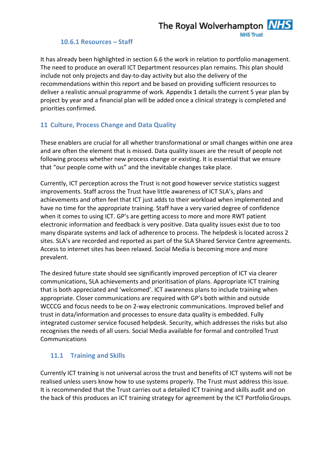#### **10.6.1 Resources – Staff**

<span id="page-25-0"></span>It has already been highlighted in section 6.6 the work in relation to portfolio management. The need to produce an overall ICT Department resources plan remains. This plan should include not only projects and day-to-day activity but also the delivery of the recommendations within this report and be based on providing sufficient resources to deliver a realistic annual programme of work. Appendix 1 details the current 5 year plan by project by year and a financial plan will be added once a clinical strategy is completed and priorities confirmed.

#### <span id="page-25-1"></span>**11 Culture, Process Change and Data Quality**

These enablers are crucial for all whether transformational or small changes within one area and are often the element that is missed. Data quality issues are the result of people not following process whether new process change or existing. It is essential that we ensure that "our people come with us" and the inevitable changes take place.

Currently, ICT perception across the Trust is not good however service statistics suggest improvements. Staff across the Trust have little awareness of ICT SLA's, plans and achievements and often feel that ICT just adds to their workload when implemented and have no time for the appropriate training. Staff have a very varied degree of confidence when it comes to using ICT. GP's are getting access to more and more RWT patient electronic information and feedback is very positive. Data quality issues exist due to too many disparate systems and lack of adherence to process. The helpdesk is located across 2 sites. SLA's are recorded and reported as part of the SLA Shared Service Centre agreements. Access to internet sites has been relaxed. Social Media is becoming more and more prevalent.

The desired future state should see significantly improved perception of ICT via clearer communications, SLA achievements and prioritisation of plans. Appropriate ICT training that is both appreciated and 'welcomed'. ICT awareness plans to include training when appropriate. Closer communications are required with GP's both within and outside WCCCG and focus needs to be on 2-way electronic communications. Improved belief and trust in data/information and processes to ensure data quality is embedded. Fully integrated customer service focused helpdesk. Security, which addresses the risks but also recognises the needs of all users. Social Media available for formal and controlled Trust Communications

### <span id="page-25-2"></span>**11.1 Training and Skills**

Currently ICT training is not universal across the trust and benefits of ICT systems will not be realised unless users know how to use systems properly. The Trust must address this issue. It is recommended that the Trust carries out a detailed ICT training and skills audit and on the back of this produces an ICT training strategy for agreement by the ICT PortfolioGroups.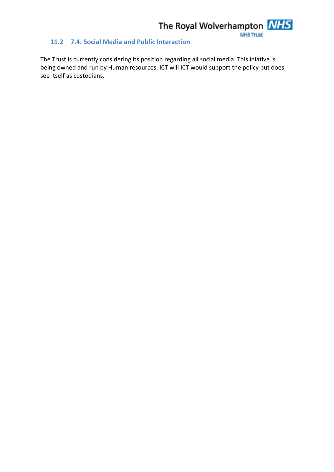#### <span id="page-26-0"></span>**11.2 7.4. Social Media and Public Interaction**

The Trust is currently considering its position regarding all social media. This iniative is being owned and run by Human resources. ICT will ICT would support the policy but does see itself as custodians.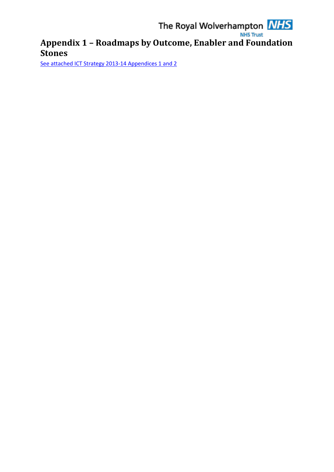# **Appendix 1 – Roadmaps by Outcome, Enabler and Foundation**<br>Appendix 1 – Roadmaps by Outcome, Enabler and Foundation **Stones**

<span id="page-27-0"></span>[See attached ICT Strategy 2013-14 Appendices 1 and 2](http://intranet.xrwh.nhs.uk/pdf/policies/st_ICT_strategy_Appendices.pdf)